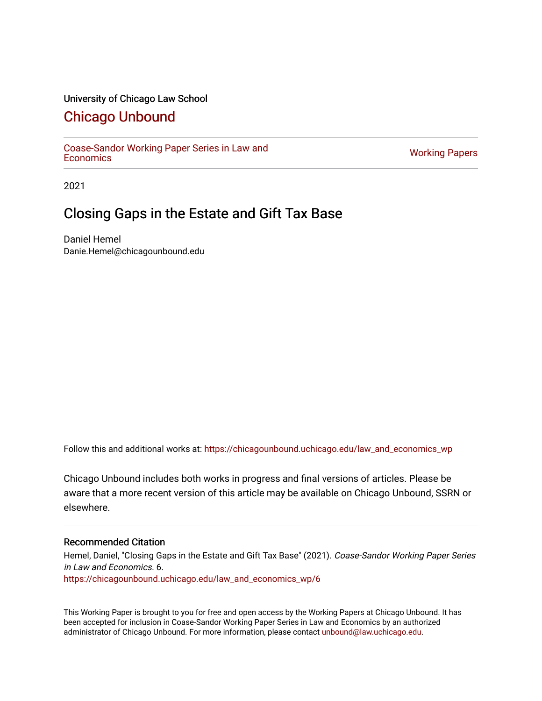## University of Chicago Law School

## [Chicago Unbound](https://chicagounbound.uchicago.edu/)

[Coase-Sandor Working Paper Series in Law and](https://chicagounbound.uchicago.edu/law_and_economics_wp) [Economics](https://chicagounbound.uchicago.edu/law_and_economics_wp) [Working Papers](https://chicagounbound.uchicago.edu/working_papers) 

2021

# Closing Gaps in the Estate and Gift Tax Base

Daniel Hemel Danie.Hemel@chicagounbound.edu

Follow this and additional works at: [https://chicagounbound.uchicago.edu/law\\_and\\_economics\\_wp](https://chicagounbound.uchicago.edu/law_and_economics_wp?utm_source=chicagounbound.uchicago.edu%2Flaw_and_economics_wp%2F6&utm_medium=PDF&utm_campaign=PDFCoverPages) 

Chicago Unbound includes both works in progress and final versions of articles. Please be aware that a more recent version of this article may be available on Chicago Unbound, SSRN or elsewhere.

#### Recommended Citation

Hemel, Daniel, "Closing Gaps in the Estate and Gift Tax Base" (2021). Coase-Sandor Working Paper Series in Law and Economics. 6. [https://chicagounbound.uchicago.edu/law\\_and\\_economics\\_wp/6](https://chicagounbound.uchicago.edu/law_and_economics_wp/6?utm_source=chicagounbound.uchicago.edu%2Flaw_and_economics_wp%2F6&utm_medium=PDF&utm_campaign=PDFCoverPages)

This Working Paper is brought to you for free and open access by the Working Papers at Chicago Unbound. It has been accepted for inclusion in Coase-Sandor Working Paper Series in Law and Economics by an authorized administrator of Chicago Unbound. For more information, please contact [unbound@law.uchicago.edu](mailto:unbound@law.uchicago.edu).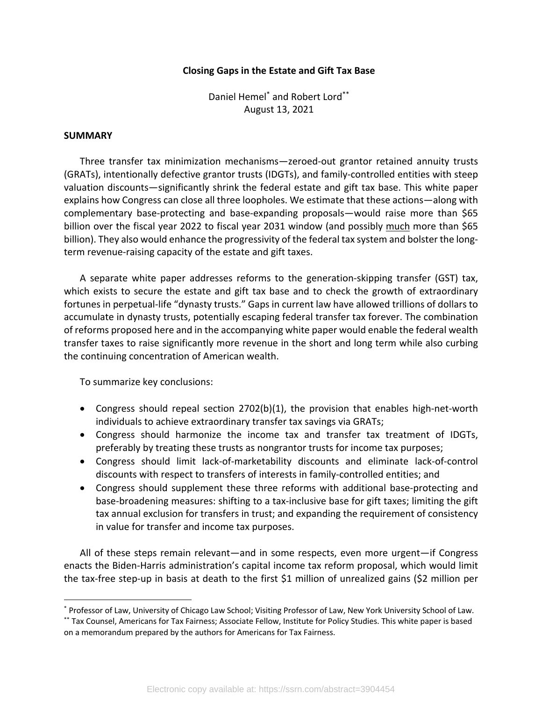## **Closing Gaps in the Estate and Gift Tax Base**

Daniel Hemel\* and Robert Lord\*\* August 13, 2021

## **SUMMARY**

Three transfer tax minimization mechanisms—zeroed-out grantor retained annuity trusts (GRATs), intentionally defective grantor trusts (IDGTs), and family-controlled entities with steep valuation discounts—significantly shrink the federal estate and gift tax base. This white paper explains how Congress can close all three loopholes. We estimate that these actions—along with complementary base-protecting and base-expanding proposals—would raise more than \$65 billion over the fiscal year 2022 to fiscal year 2031 window (and possibly much more than \$65 billion). They also would enhance the progressivity of the federal tax system and bolster the longterm revenue-raising capacity of the estate and gift taxes.

A separate white paper addresses reforms to the generation-skipping transfer (GST) tax, which exists to secure the estate and gift tax base and to check the growth of extraordinary fortunes in perpetual-life "dynasty trusts." Gaps in current law have allowed trillions of dollars to accumulate in dynasty trusts, potentially escaping federal transfer tax forever. The combination of reforms proposed here and in the accompanying white paper would enable the federal wealth transfer taxes to raise significantly more revenue in the short and long term while also curbing the continuing concentration of American wealth.

To summarize key conclusions:

- Congress should repeal section 2702(b)(1), the provision that enables high-net-worth individuals to achieve extraordinary transfer tax savings via GRATs;
- Congress should harmonize the income tax and transfer tax treatment of IDGTs, preferably by treating these trusts as nongrantor trusts for income tax purposes;
- Congress should limit lack-of-marketability discounts and eliminate lack-of-control discounts with respect to transfers of interests in family-controlled entities; and
- Congress should supplement these three reforms with additional base-protecting and base-broadening measures: shifting to a tax-inclusive base for gift taxes; limiting the gift tax annual exclusion for transfers in trust; and expanding the requirement of consistency in value for transfer and income tax purposes.

All of these steps remain relevant—and in some respects, even more urgent—if Congress enacts the Biden-Harris administration's capital income tax reform proposal, which would limit the tax-free step-up in basis at death to the first \$1 million of unrealized gains (\$2 million per

<sup>\*</sup> Professor of Law, University of Chicago Law School; Visiting Professor of Law, New York University School of Law. \*\* Tax Counsel, Americans for Tax Fairness; Associate Fellow, Institute for Policy Studies. This white paper is based on a memorandum prepared by the authors for Americans for Tax Fairness.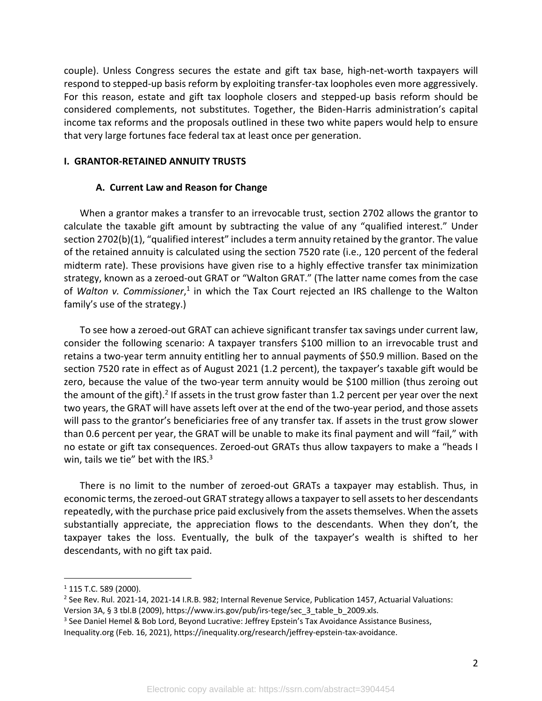couple). Unless Congress secures the estate and gift tax base, high-net-worth taxpayers will respond to stepped-up basis reform by exploiting transfer-tax loopholes even more aggressively. For this reason, estate and gift tax loophole closers and stepped-up basis reform should be considered complements, not substitutes. Together, the Biden-Harris administration's capital income tax reforms and the proposals outlined in these two white papers would help to ensure that very large fortunes face federal tax at least once per generation.

## **I. GRANTOR-RETAINED ANNUITY TRUSTS**

## **A. Current Law and Reason for Change**

When a grantor makes a transfer to an irrevocable trust, section 2702 allows the grantor to calculate the taxable gift amount by subtracting the value of any "qualified interest." Under section 2702(b)(1), "qualified interest" includes a term annuity retained by the grantor. The value of the retained annuity is calculated using the section 7520 rate (i.e., 120 percent of the federal midterm rate). These provisions have given rise to a highly effective transfer tax minimization strategy, known as a zeroed-out GRAT or "Walton GRAT." (The latter name comes from the case of *Walton v. Commissioner*, <sup>1</sup> in which the Tax Court rejected an IRS challenge to the Walton family's use of the strategy.)

To see how a zeroed-out GRAT can achieve significant transfer tax savings under current law, consider the following scenario: A taxpayer transfers \$100 million to an irrevocable trust and retains a two-year term annuity entitling her to annual payments of \$50.9 million. Based on the section 7520 rate in effect as of August 2021 (1.2 percent), the taxpayer's taxable gift would be zero, because the value of the two-year term annuity would be \$100 million (thus zeroing out the amount of the gift).<sup>2</sup> If assets in the trust grow faster than 1.2 percent per year over the next two years, the GRAT will have assets left over at the end of the two-year period, and those assets will pass to the grantor's beneficiaries free of any transfer tax. If assets in the trust grow slower than 0.6 percent per year, the GRAT will be unable to make its final payment and will "fail," with no estate or gift tax consequences. Zeroed-out GRATs thus allow taxpayers to make a "heads I win, tails we tie" bet with the IRS. $3$ 

There is no limit to the number of zeroed-out GRATs a taxpayer may establish. Thus, in economic terms, the zeroed-out GRAT strategy allows a taxpayer to sell assets to her descendants repeatedly, with the purchase price paid exclusively from the assets themselves. When the assets substantially appreciate, the appreciation flows to the descendants. When they don't, the taxpayer takes the loss. Eventually, the bulk of the taxpayer's wealth is shifted to her descendants, with no gift tax paid.

 $1$  115 T.C. 589 (2000).

<sup>&</sup>lt;sup>2</sup> See Rev. Rul. 2021-14, 2021-14 I.R.B. 982; Internal Revenue Service, Publication 1457, Actuarial Valuations: Version 3A, § 3 tbl.B (2009), https://www.irs.gov/pub/irs-tege/sec\_3\_table\_b\_2009.xls.

<sup>&</sup>lt;sup>3</sup> See Daniel Hemel & Bob Lord, Beyond Lucrative: Jeffrey Epstein's Tax Avoidance Assistance Business, Inequality.org (Feb. 16, 2021), https://inequality.org/research/jeffrey-epstein-tax-avoidance.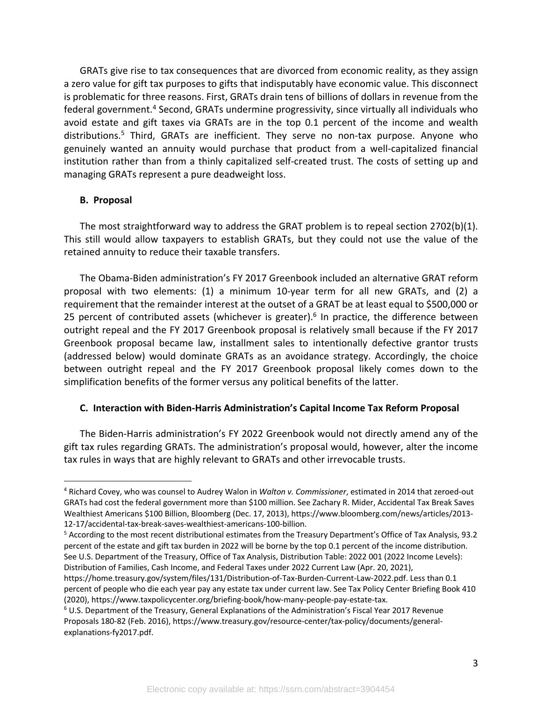GRATs give rise to tax consequences that are divorced from economic reality, as they assign a zero value for gift tax purposes to gifts that indisputably have economic value. This disconnect is problematic for three reasons. First, GRATs drain tens of billions of dollars in revenue from the federal government.<sup>4</sup> Second, GRATs undermine progressivity, since virtually all individuals who avoid estate and gift taxes via GRATs are in the top 0.1 percent of the income and wealth distributions.<sup>5</sup> Third, GRATs are inefficient. They serve no non-tax purpose. Anyone who genuinely wanted an annuity would purchase that product from a well-capitalized financial institution rather than from a thinly capitalized self-created trust. The costs of setting up and managing GRATs represent a pure deadweight loss.

#### **B. Proposal**

The most straightforward way to address the GRAT problem is to repeal section 2702(b)(1). This still would allow taxpayers to establish GRATs, but they could not use the value of the retained annuity to reduce their taxable transfers.

The Obama-Biden administration's FY 2017 Greenbook included an alternative GRAT reform proposal with two elements: (1) a minimum 10-year term for all new GRATs, and (2) a requirement that the remainder interest at the outset of a GRAT be at least equal to \$500,000 or 25 percent of contributed assets (whichever is greater).<sup>6</sup> In practice, the difference between outright repeal and the FY 2017 Greenbook proposal is relatively small because if the FY 2017 Greenbook proposal became law, installment sales to intentionally defective grantor trusts (addressed below) would dominate GRATs as an avoidance strategy. Accordingly, the choice between outright repeal and the FY 2017 Greenbook proposal likely comes down to the simplification benefits of the former versus any political benefits of the latter.

## **C. Interaction with Biden-Harris Administration's Capital Income Tax Reform Proposal**

The Biden-Harris administration's FY 2022 Greenbook would not directly amend any of the gift tax rules regarding GRATs. The administration's proposal would, however, alter the income tax rules in ways that are highly relevant to GRATs and other irrevocable trusts.

<sup>4</sup> Richard Covey, who was counsel to Audrey Walon in *Walton v. Commissioner*, estimated in 2014 that zeroed-out GRATs had cost the federal government more than \$100 million. See Zachary R. Mider, Accidental Tax Break Saves Wealthiest Americans \$100 Billion, Bloomberg (Dec. 17, 2013), https://www.bloomberg.com/news/articles/2013- 12-17/accidental-tax-break-saves-wealthiest-americans-100-billion.

<sup>5</sup> According to the most recent distributional estimates from the Treasury Department's Office of Tax Analysis, 93.2 percent of the estate and gift tax burden in 2022 will be borne by the top 0.1 percent of the income distribution. See U.S. Department of the Treasury, Office of Tax Analysis, Distribution Table: 2022 001 (2022 Income Levels): Distribution of Families, Cash Income, and Federal Taxes under 2022 Current Law (Apr. 20, 2021),

https://home.treasury.gov/system/files/131/Distribution-of-Tax-Burden-Current-Law-2022.pdf. Less than 0.1 percent of people who die each year pay any estate tax under current law. See Tax Policy Center Briefing Book 410 (2020), https://www.taxpolicycenter.org/briefing-book/how-many-people-pay-estate-tax.

<sup>6</sup> U.S. Department of the Treasury, General Explanations of the Administration's Fiscal Year 2017 Revenue Proposals 180-82 (Feb. 2016), https://www.treasury.gov/resource-center/tax-policy/documents/generalexplanations-fy2017.pdf.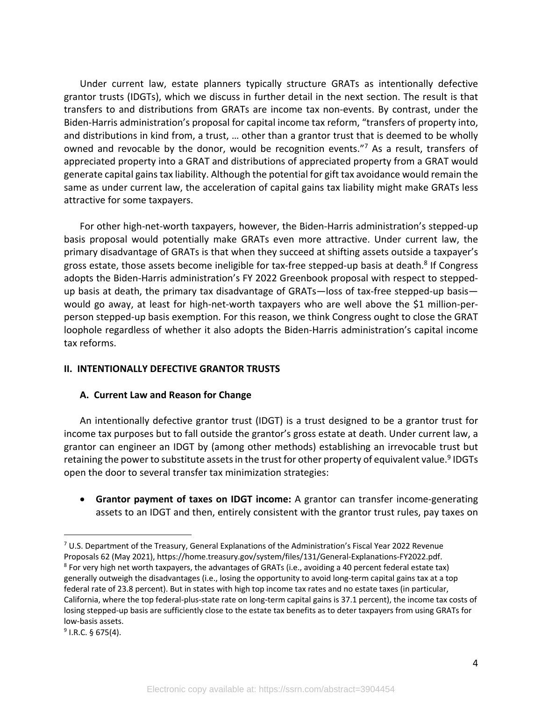Under current law, estate planners typically structure GRATs as intentionally defective grantor trusts (IDGTs), which we discuss in further detail in the next section. The result is that transfers to and distributions from GRATs are income tax non-events. By contrast, under the Biden-Harris administration's proposal for capital income tax reform, "transfers of property into, and distributions in kind from, a trust, … other than a grantor trust that is deemed to be wholly owned and revocable by the donor, would be recognition events."<sup>7</sup> As a result, transfers of appreciated property into a GRAT and distributions of appreciated property from a GRAT would generate capital gains tax liability. Although the potential for gift tax avoidance would remain the same as under current law, the acceleration of capital gains tax liability might make GRATs less attractive for some taxpayers.

For other high-net-worth taxpayers, however, the Biden-Harris administration's stepped-up basis proposal would potentially make GRATs even more attractive. Under current law, the primary disadvantage of GRATs is that when they succeed at shifting assets outside a taxpayer's gross estate, those assets become ineligible for tax-free stepped-up basis at death.<sup>8</sup> If Congress adopts the Biden-Harris administration's FY 2022 Greenbook proposal with respect to steppedup basis at death, the primary tax disadvantage of GRATs—loss of tax-free stepped-up basis would go away, at least for high-net-worth taxpayers who are well above the \$1 million-perperson stepped-up basis exemption. For this reason, we think Congress ought to close the GRAT loophole regardless of whether it also adopts the Biden-Harris administration's capital income tax reforms.

## **II. INTENTIONALLY DEFECTIVE GRANTOR TRUSTS**

## **A. Current Law and Reason for Change**

An intentionally defective grantor trust (IDGT) is a trust designed to be a grantor trust for income tax purposes but to fall outside the grantor's gross estate at death. Under current law, a grantor can engineer an IDGT by (among other methods) establishing an irrevocable trust but retaining the power to substitute assets in the trust for other property of equivalent value.<sup>9</sup> IDGTs open the door to several transfer tax minimization strategies:

• **Grantor payment of taxes on IDGT income:** A grantor can transfer income-generating assets to an IDGT and then, entirely consistent with the grantor trust rules, pay taxes on

 $7$  U.S. Department of the Treasury, General Explanations of the Administration's Fiscal Year 2022 Revenue Proposals 62 (May 2021), https://home.treasury.gov/system/files/131/General-Explanations-FY2022.pdf. <sup>8</sup> For very high net worth taxpayers, the advantages of GRATs (i.e., avoiding a 40 percent federal estate tax) generally outweigh the disadvantages (i.e., losing the opportunity to avoid long-term capital gains tax at a top federal rate of 23.8 percent). But in states with high top income tax rates and no estate taxes (in particular, California, where the top federal-plus-state rate on long-term capital gains is 37.1 percent), the income tax costs of losing stepped-up basis are sufficiently close to the estate tax benefits as to deter taxpayers from using GRATs for low-basis assets.

 $9$  I.R.C. § 675(4).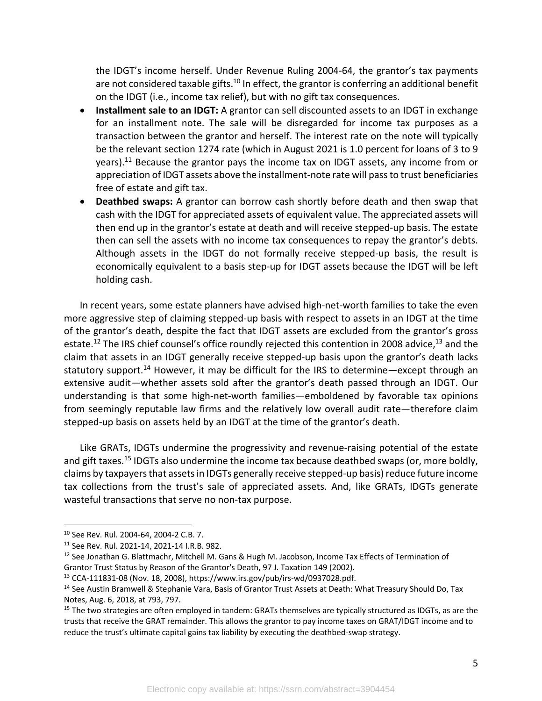the IDGT's income herself. Under Revenue Ruling 2004-64, the grantor's tax payments are not considered taxable gifts.<sup>10</sup> In effect, the grantor is conferring an additional benefit on the IDGT (i.e., income tax relief), but with no gift tax consequences.

- **Installment sale to an IDGT:** A grantor can sell discounted assets to an IDGT in exchange for an installment note. The sale will be disregarded for income tax purposes as a transaction between the grantor and herself. The interest rate on the note will typically be the relevant section 1274 rate (which in August 2021 is 1.0 percent for loans of 3 to 9 years).<sup>11</sup> Because the grantor pays the income tax on IDGT assets, any income from or appreciation of IDGT assets above the installment-note rate will pass to trust beneficiaries free of estate and gift tax.
- **Deathbed swaps:** A grantor can borrow cash shortly before death and then swap that cash with the IDGT for appreciated assets of equivalent value. The appreciated assets will then end up in the grantor's estate at death and will receive stepped-up basis. The estate then can sell the assets with no income tax consequences to repay the grantor's debts. Although assets in the IDGT do not formally receive stepped-up basis, the result is economically equivalent to a basis step-up for IDGT assets because the IDGT will be left holding cash.

In recent years, some estate planners have advised high-net-worth families to take the even more aggressive step of claiming stepped-up basis with respect to assets in an IDGT at the time of the grantor's death, despite the fact that IDGT assets are excluded from the grantor's gross estate.<sup>12</sup> The IRS chief counsel's office roundly rejected this contention in 2008 advice,<sup>13</sup> and the claim that assets in an IDGT generally receive stepped-up basis upon the grantor's death lacks statutory support.<sup>14</sup> However, it may be difficult for the IRS to determine—except through an extensive audit—whether assets sold after the grantor's death passed through an IDGT. Our understanding is that some high-net-worth families—emboldened by favorable tax opinions from seemingly reputable law firms and the relatively low overall audit rate—therefore claim stepped-up basis on assets held by an IDGT at the time of the grantor's death.

Like GRATs, IDGTs undermine the progressivity and revenue-raising potential of the estate and gift taxes.<sup>15</sup> IDGTs also undermine the income tax because deathbed swaps (or, more boldly, claims by taxpayers that assets in IDGTs generally receive stepped-up basis)reduce future income tax collections from the trust's sale of appreciated assets. And, like GRATs, IDGTs generate wasteful transactions that serve no non-tax purpose.

<sup>10</sup> See Rev. Rul. 2004-64, 2004-2 C.B. 7.

<sup>11</sup> See Rev. Rul. 2021-14, 2021-14 I.R.B. 982.

<sup>&</sup>lt;sup>12</sup> See Jonathan G. Blattmachr, Mitchell M. Gans & Hugh M. Jacobson, Income Tax Effects of Termination of Grantor Trust Status by Reason of the Grantor's Death, 97 J. Taxation 149 (2002).<br><sup>13</sup> CCA-111831-08 (Nov. 18, 2008), https://www.irs.gov/pub/irs-wd/0937028.pdf.

<sup>&</sup>lt;sup>14</sup> See Austin Bramwell & Stephanie Vara, Basis of Grantor Trust Assets at Death: What Treasury Should Do, Tax Notes, Aug. 6, 2018, at 793, 797.

<sup>&</sup>lt;sup>15</sup> The two strategies are often employed in tandem: GRATs themselves are typically structured as IDGTs, as are the trusts that receive the GRAT remainder. This allows the grantor to pay income taxes on GRAT/IDGT income and to reduce the trust's ultimate capital gains tax liability by executing the deathbed-swap strategy.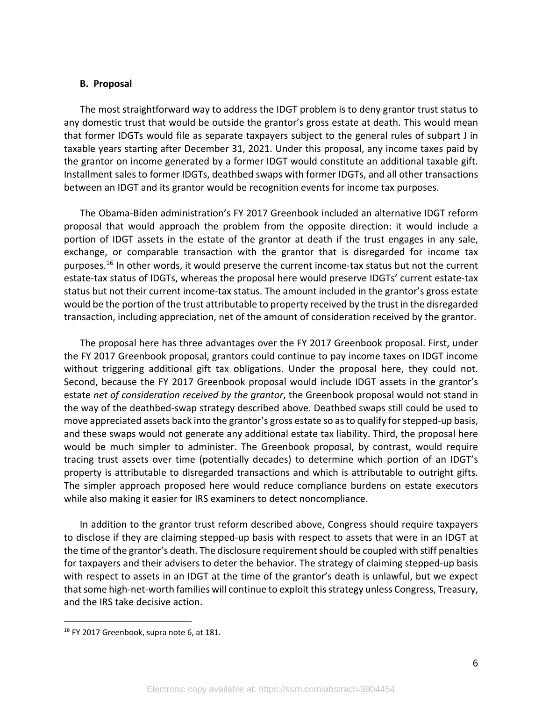#### **B. Proposal**

The most straightforward way to address the IDGT problem is to deny grantor trust status to any domestic trust that would be outside the grantor's gross estate at death. This would mean that former IDGTs would file as separate taxpayers subject to the general rules of subpart J in taxable years starting after December 31, 2021. Under this proposal, any income taxes paid by the grantor on income generated by a former IDGT would constitute an additional taxable gift. Installment sales to former IDGTs, deathbed swaps with former IDGTs, and all other transactions between an IDGT and its grantor would be recognition events for income tax purposes.

The Obama-Biden administration's FY 2017 Greenbook included an alternative IDGT reform proposal that would approach the problem from the opposite direction: it would include a portion of IDGT assets in the estate of the grantor at death if the trust engages in any sale, exchange, or comparable transaction with the grantor that is disregarded for income tax purposes.<sup>16</sup> In other words, it would preserve the current income-tax status but not the current estate-tax status of IDGTs, whereas the proposal here would preserve IDGTs' current estate-tax status but not their current income-tax status. The amount included in the grantor's gross estate would be the portion of the trust attributable to property received by the trust in the disregarded transaction, including appreciation, net of the amount of consideration received by the grantor.

The proposal here has three advantages over the FY 2017 Greenbook proposal. First, under the FY 2017 Greenbook proposal, grantors could continue to pay income taxes on IDGT income without triggering additional gift tax obligations. Under the proposal here, they could not. Second, because the FY 2017 Greenbook proposal would include IDGT assets in the grantor's estate *net of consideration received by the grantor*, the Greenbook proposal would not stand in the way of the deathbed-swap strategy described above. Deathbed swaps still could be used to move appreciated assets back into the grantor's gross estate so as to qualify for stepped-up basis, and these swaps would not generate any additional estate tax liability. Third, the proposal here would be much simpler to administer. The Greenbook proposal, by contrast, would require tracing trust assets over time (potentially decades) to determine which portion of an IDGT's property is attributable to disregarded transactions and which is attributable to outright gifts. The simpler approach proposed here would reduce compliance burdens on estate executors while also making it easier for IRS examiners to detect noncompliance.

In addition to the grantor trust reform described above, Congress should require taxpayers to disclose if they are claiming stepped-up basis with respect to assets that were in an IDGT at the time of the grantor's death. The disclosure requirement should be coupled with stiff penalties for taxpayers and their advisers to deter the behavior. The strategy of claiming stepped-up basis with respect to assets in an IDGT at the time of the grantor's death is unlawful, but we expect that some high-net-worth families will continue to exploit this strategy unless Congress, Treasury, and the IRS take decisive action.

<sup>&</sup>lt;sup>16</sup> FY 2017 Greenbook, supra note 6, at 181.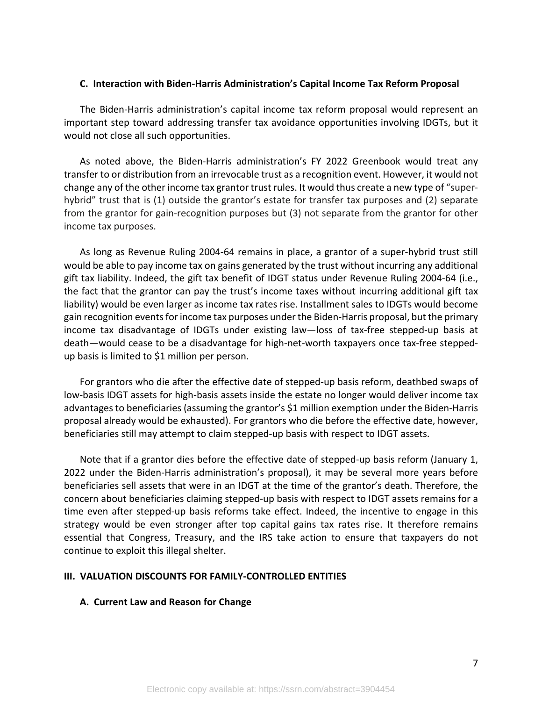## **C. Interaction with Biden-Harris Administration's Capital Income Tax Reform Proposal**

The Biden-Harris administration's capital income tax reform proposal would represent an important step toward addressing transfer tax avoidance opportunities involving IDGTs, but it would not close all such opportunities.

As noted above, the Biden-Harris administration's FY 2022 Greenbook would treat any transfer to or distribution from an irrevocable trust as a recognition event. However, it would not change any of the other income tax grantor trust rules. It would thus create a new type of "superhybrid" trust that is (1) outside the grantor's estate for transfer tax purposes and (2) separate from the grantor for gain-recognition purposes but (3) not separate from the grantor for other income tax purposes.

As long as Revenue Ruling 2004-64 remains in place, a grantor of a super-hybrid trust still would be able to pay income tax on gains generated by the trust without incurring any additional gift tax liability. Indeed, the gift tax benefit of IDGT status under Revenue Ruling 2004-64 (i.e., the fact that the grantor can pay the trust's income taxes without incurring additional gift tax liability) would be even larger as income tax rates rise. Installment sales to IDGTs would become gain recognition events for income tax purposes under the Biden-Harris proposal, but the primary income tax disadvantage of IDGTs under existing law—loss of tax-free stepped-up basis at death—would cease to be a disadvantage for high-net-worth taxpayers once tax-free steppedup basis is limited to \$1 million per person.

For grantors who die after the effective date of stepped-up basis reform, deathbed swaps of low-basis IDGT assets for high-basis assets inside the estate no longer would deliver income tax advantages to beneficiaries (assuming the grantor's \$1 million exemption under the Biden-Harris proposal already would be exhausted). For grantors who die before the effective date, however, beneficiaries still may attempt to claim stepped-up basis with respect to IDGT assets.

Note that if a grantor dies before the effective date of stepped-up basis reform (January 1, 2022 under the Biden-Harris administration's proposal), it may be several more years before beneficiaries sell assets that were in an IDGT at the time of the grantor's death. Therefore, the concern about beneficiaries claiming stepped-up basis with respect to IDGT assets remains for a time even after stepped-up basis reforms take effect. Indeed, the incentive to engage in this strategy would be even stronger after top capital gains tax rates rise. It therefore remains essential that Congress, Treasury, and the IRS take action to ensure that taxpayers do not continue to exploit this illegal shelter.

## **III. VALUATION DISCOUNTS FOR FAMILY-CONTROLLED ENTITIES**

## **A. Current Law and Reason for Change**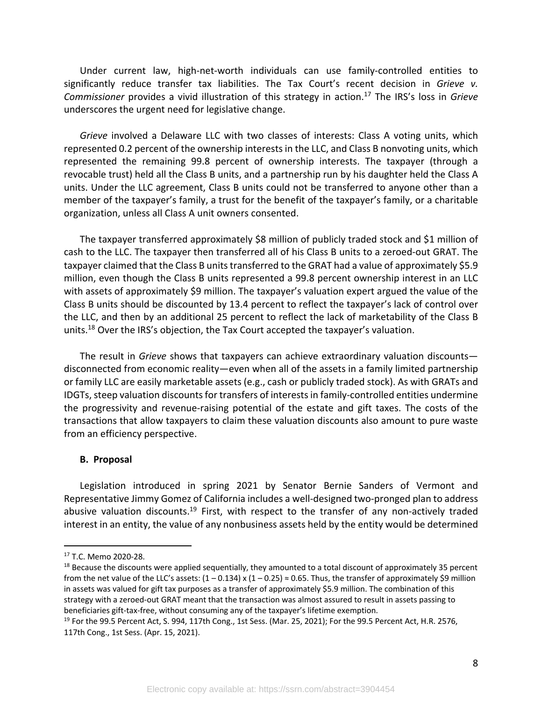Under current law, high-net-worth individuals can use family-controlled entities to significantly reduce transfer tax liabilities. The Tax Court's recent decision in *Grieve v. Commissioner* provides a vivid illustration of this strategy in action.17 The IRS's loss in *Grieve* underscores the urgent need for legislative change.

*Grieve* involved a Delaware LLC with two classes of interests: Class A voting units, which represented 0.2 percent of the ownership interests in the LLC, and Class B nonvoting units, which represented the remaining 99.8 percent of ownership interests. The taxpayer (through a revocable trust) held all the Class B units, and a partnership run by his daughter held the Class A units. Under the LLC agreement, Class B units could not be transferred to anyone other than a member of the taxpayer's family, a trust for the benefit of the taxpayer's family, or a charitable organization, unless all Class A unit owners consented.

The taxpayer transferred approximately \$8 million of publicly traded stock and \$1 million of cash to the LLC. The taxpayer then transferred all of his Class B units to a zeroed-out GRAT. The taxpayer claimed that the Class B units transferred to the GRAT had a value of approximately \$5.9 million, even though the Class B units represented a 99.8 percent ownership interest in an LLC with assets of approximately \$9 million. The taxpayer's valuation expert argued the value of the Class B units should be discounted by 13.4 percent to reflect the taxpayer's lack of control over the LLC, and then by an additional 25 percent to reflect the lack of marketability of the Class B units.<sup>18</sup> Over the IRS's objection, the Tax Court accepted the taxpayer's valuation.

The result in *Grieve* shows that taxpayers can achieve extraordinary valuation discounts disconnected from economic reality—even when all of the assets in a family limited partnership or family LLC are easily marketable assets (e.g., cash or publicly traded stock). As with GRATs and IDGTs, steep valuation discounts for transfers of interests in family-controlled entities undermine the progressivity and revenue-raising potential of the estate and gift taxes. The costs of the transactions that allow taxpayers to claim these valuation discounts also amount to pure waste from an efficiency perspective.

## **B. Proposal**

Legislation introduced in spring 2021 by Senator Bernie Sanders of Vermont and Representative Jimmy Gomez of California includes a well-designed two-pronged plan to address abusive valuation discounts.<sup>19</sup> First, with respect to the transfer of any non-actively traded interest in an entity, the value of any nonbusiness assets held by the entity would be determined

<sup>17</sup> T.C. Memo 2020-28.

 $18$  Because the discounts were applied sequentially, they amounted to a total discount of approximately 35 percent from the net value of the LLC's assets:  $(1 - 0.134) \times (1 - 0.25) \approx 0.65$ . Thus, the transfer of approximately \$9 million in assets was valued for gift tax purposes as a transfer of approximately \$5.9 million. The combination of this strategy with a zeroed-out GRAT meant that the transaction was almost assured to result in assets passing to beneficiaries gift-tax-free, without consuming any of the taxpayer's lifetime exemption.

 $19$  For the 99.5 Percent Act, S. 994, 117th Cong., 1st Sess. (Mar. 25, 2021); For the 99.5 Percent Act, H.R. 2576, 117th Cong., 1st Sess. (Apr. 15, 2021).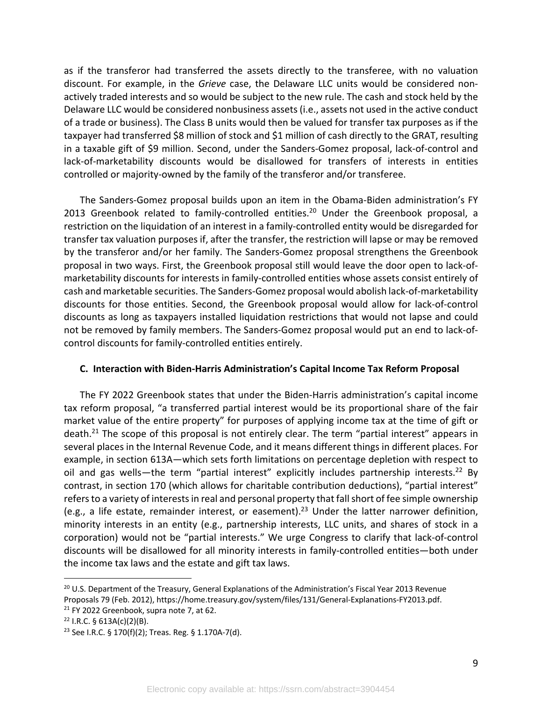as if the transferor had transferred the assets directly to the transferee, with no valuation discount. For example, in the *Grieve* case, the Delaware LLC units would be considered nonactively traded interests and so would be subject to the new rule. The cash and stock held by the Delaware LLC would be considered nonbusiness assets (i.e., assets not used in the active conduct of a trade or business). The Class B units would then be valued for transfer tax purposes as if the taxpayer had transferred \$8 million of stock and \$1 million of cash directly to the GRAT, resulting in a taxable gift of \$9 million. Second, under the Sanders-Gomez proposal, lack-of-control and lack-of-marketability discounts would be disallowed for transfers of interests in entities controlled or majority-owned by the family of the transferor and/or transferee.

The Sanders-Gomez proposal builds upon an item in the Obama-Biden administration's FY 2013 Greenbook related to family-controlled entities.<sup>20</sup> Under the Greenbook proposal, a restriction on the liquidation of an interest in a family-controlled entity would be disregarded for transfer tax valuation purposes if, after the transfer, the restriction will lapse or may be removed by the transferor and/or her family. The Sanders-Gomez proposal strengthens the Greenbook proposal in two ways. First, the Greenbook proposal still would leave the door open to lack-ofmarketability discounts for interests in family-controlled entities whose assets consist entirely of cash and marketable securities. The Sanders-Gomez proposal would abolish lack-of-marketability discounts for those entities. Second, the Greenbook proposal would allow for lack-of-control discounts as long as taxpayers installed liquidation restrictions that would not lapse and could not be removed by family members. The Sanders-Gomez proposal would put an end to lack-ofcontrol discounts for family-controlled entities entirely.

## **C. Interaction with Biden-Harris Administration's Capital Income Tax Reform Proposal**

The FY 2022 Greenbook states that under the Biden-Harris administration's capital income tax reform proposal, "a transferred partial interest would be its proportional share of the fair market value of the entire property" for purposes of applying income tax at the time of gift or death.<sup>21</sup> The scope of this proposal is not entirely clear. The term "partial interest" appears in several places in the Internal Revenue Code, and it means different things in different places. For example, in section 613A—which sets forth limitations on percentage depletion with respect to oil and gas wells—the term "partial interest" explicitly includes partnership interests.<sup>22</sup> By contrast, in section 170 (which allows for charitable contribution deductions), "partial interest" refers to a variety of interests in real and personal property that fall short of fee simple ownership (e.g., a life estate, remainder interest, or easement).23 Under the latter narrower definition, minority interests in an entity (e.g., partnership interests, LLC units, and shares of stock in a corporation) would not be "partial interests." We urge Congress to clarify that lack-of-control discounts will be disallowed for all minority interests in family-controlled entities—both under the income tax laws and the estate and gift tax laws.

<sup>&</sup>lt;sup>20</sup> U.S. Department of the Treasury, General Explanations of the Administration's Fiscal Year 2013 Revenue Proposals 79 (Feb. 2012), https://home.treasury.gov/system/files/131/General-Explanations-FY2013.pdf.

 $21$  FY 2022 Greenbook, supra note 7, at 62.

 $22$  I.R.C. § 613A(c)(2)(B).

<sup>23</sup> See I.R.C. § 170(f)(2); Treas. Reg. § 1.170A-7(d).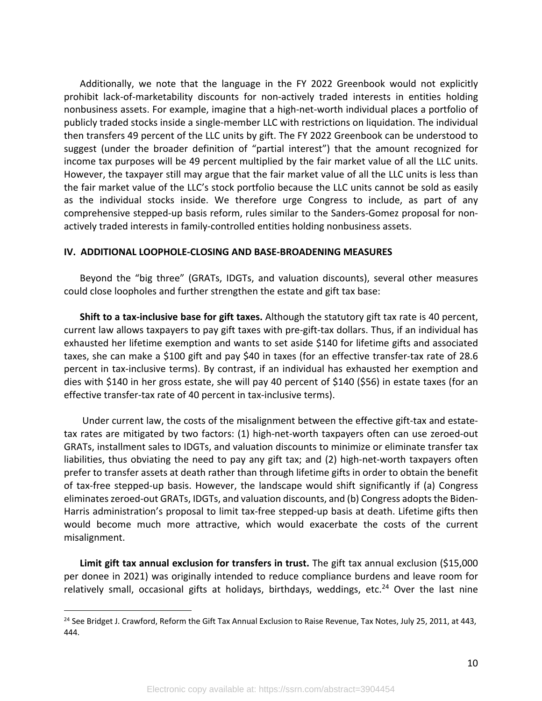Additionally, we note that the language in the FY 2022 Greenbook would not explicitly prohibit lack-of-marketability discounts for non-actively traded interests in entities holding nonbusiness assets. For example, imagine that a high-net-worth individual places a portfolio of publicly traded stocks inside a single-member LLC with restrictions on liquidation. The individual then transfers 49 percent of the LLC units by gift. The FY 2022 Greenbook can be understood to suggest (under the broader definition of "partial interest") that the amount recognized for income tax purposes will be 49 percent multiplied by the fair market value of all the LLC units. However, the taxpayer still may argue that the fair market value of all the LLC units is less than the fair market value of the LLC's stock portfolio because the LLC units cannot be sold as easily as the individual stocks inside. We therefore urge Congress to include, as part of any comprehensive stepped-up basis reform, rules similar to the Sanders-Gomez proposal for nonactively traded interests in family-controlled entities holding nonbusiness assets.

#### **IV. ADDITIONAL LOOPHOLE-CLOSING AND BASE-BROADENING MEASURES**

Beyond the "big three" (GRATs, IDGTs, and valuation discounts), several other measures could close loopholes and further strengthen the estate and gift tax base:

**Shift to a tax-inclusive base for gift taxes.** Although the statutory gift tax rate is 40 percent, current law allows taxpayers to pay gift taxes with pre-gift-tax dollars. Thus, if an individual has exhausted her lifetime exemption and wants to set aside \$140 for lifetime gifts and associated taxes, she can make a \$100 gift and pay \$40 in taxes (for an effective transfer-tax rate of 28.6 percent in tax-inclusive terms). By contrast, if an individual has exhausted her exemption and dies with \$140 in her gross estate, she will pay 40 percent of \$140 (\$56) in estate taxes (for an effective transfer-tax rate of 40 percent in tax-inclusive terms).

Under current law, the costs of the misalignment between the effective gift-tax and estatetax rates are mitigated by two factors: (1) high-net-worth taxpayers often can use zeroed-out GRATs, installment sales to IDGTs, and valuation discounts to minimize or eliminate transfer tax liabilities, thus obviating the need to pay any gift tax; and (2) high-net-worth taxpayers often prefer to transfer assets at death rather than through lifetime gifts in order to obtain the benefit of tax-free stepped-up basis. However, the landscape would shift significantly if (a) Congress eliminates zeroed-out GRATs, IDGTs, and valuation discounts, and (b) Congress adopts the Biden-Harris administration's proposal to limit tax-free stepped-up basis at death. Lifetime gifts then would become much more attractive, which would exacerbate the costs of the current misalignment.

**Limit gift tax annual exclusion for transfers in trust.** The gift tax annual exclusion (\$15,000 per donee in 2021) was originally intended to reduce compliance burdens and leave room for relatively small, occasional gifts at holidays, birthdays, weddings, etc.<sup>24</sup> Over the last nine

<sup>&</sup>lt;sup>24</sup> See Bridget J. Crawford, Reform the Gift Tax Annual Exclusion to Raise Revenue, Tax Notes, July 25, 2011, at 443, 444.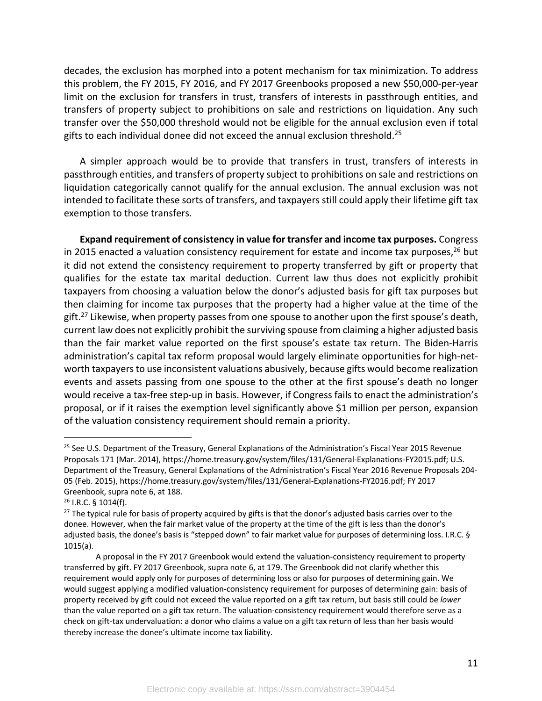decades, the exclusion has morphed into a potent mechanism for tax minimization. To address this problem, the FY 2015, FY 2016, and FY 2017 Greenbooks proposed a new \$50,000-per-year limit on the exclusion for transfers in trust, transfers of interests in passthrough entities, and transfers of property subject to prohibitions on sale and restrictions on liquidation. Any such transfer over the \$50,000 threshold would not be eligible for the annual exclusion even if total gifts to each individual donee did not exceed the annual exclusion threshold.<sup>25</sup>

A simpler approach would be to provide that transfers in trust, transfers of interests in passthrough entities, and transfers of property subject to prohibitions on sale and restrictions on liquidation categorically cannot qualify for the annual exclusion. The annual exclusion was not intended to facilitate these sorts of transfers, and taxpayers still could apply their lifetime gift tax exemption to those transfers.

**Expand requirement of consistency in value for transfer and income tax purposes.** Congress in 2015 enacted a valuation consistency requirement for estate and income tax purposes,  $26$  but it did not extend the consistency requirement to property transferred by gift or property that qualifies for the estate tax marital deduction. Current law thus does not explicitly prohibit taxpayers from choosing a valuation below the donor's adjusted basis for gift tax purposes but then claiming for income tax purposes that the property had a higher value at the time of the gift.<sup>27</sup> Likewise, when property passes from one spouse to another upon the first spouse's death, current law does not explicitly prohibit the surviving spouse from claiming a higher adjusted basis than the fair market value reported on the first spouse's estate tax return. The Biden-Harris administration's capital tax reform proposal would largely eliminate opportunities for high-networth taxpayers to use inconsistent valuations abusively, because gifts would become realization events and assets passing from one spouse to the other at the first spouse's death no longer would receive a tax-free step-up in basis. However, if Congress fails to enact the administration's proposal, or if it raises the exemption level significantly above \$1 million per person, expansion of the valuation consistency requirement should remain a priority.

<sup>&</sup>lt;sup>25</sup> See U.S. Department of the Treasury, General Explanations of the Administration's Fiscal Year 2015 Revenue Proposals 171 (Mar. 2014), https://home.treasury.gov/system/files/131/General-Explanations-FY2015.pdf; U.S. Department of the Treasury, General Explanations of the Administration's Fiscal Year 2016 Revenue Proposals 204- 05 (Feb. 2015), https://home.treasury.gov/system/files/131/General-Explanations-FY2016.pdf; FY 2017 Greenbook, supra note 6, at 188.

<sup>26</sup> I.R.C. § 1014(f).

 $27$  The typical rule for basis of property acquired by gifts is that the donor's adjusted basis carries over to the donee. However, when the fair market value of the property at the time of the gift is less than the donor's adjusted basis, the donee's basis is "stepped down" to fair market value for purposes of determining loss. I.R.C. § 1015(a).

A proposal in the FY 2017 Greenbook would extend the valuation-consistency requirement to property transferred by gift. FY 2017 Greenbook, supra note 6, at 179. The Greenbook did not clarify whether this requirement would apply only for purposes of determining loss or also for purposes of determining gain. We would suggest applying a modified valuation-consistency requirement for purposes of determining gain: basis of property received by gift could not exceed the value reported on a gift tax return, but basis still could be *lower* than the value reported on a gift tax return. The valuation-consistency requirement would therefore serve as a check on gift-tax undervaluation: a donor who claims a value on a gift tax return of less than her basis would thereby increase the donee's ultimate income tax liability.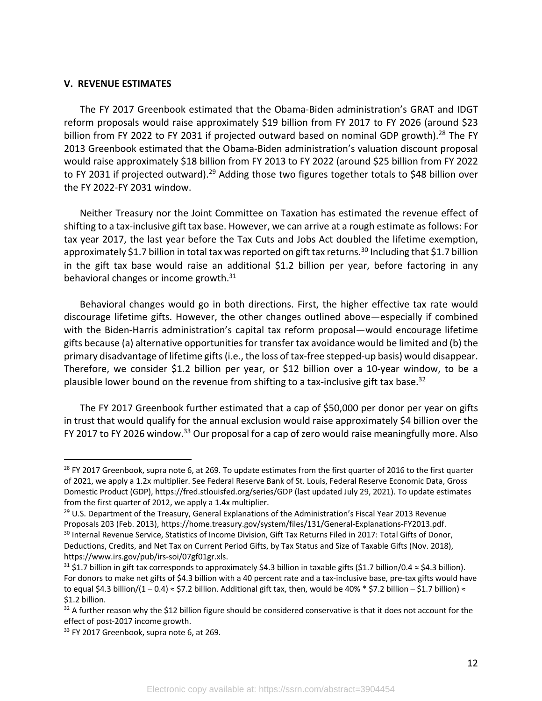#### **V. REVENUE ESTIMATES**

The FY 2017 Greenbook estimated that the Obama-Biden administration's GRAT and IDGT reform proposals would raise approximately \$19 billion from FY 2017 to FY 2026 (around \$23 billion from FY 2022 to FY 2031 if projected outward based on nominal GDP growth).<sup>28</sup> The FY 2013 Greenbook estimated that the Obama-Biden administration's valuation discount proposal would raise approximately \$18 billion from FY 2013 to FY 2022 (around \$25 billion from FY 2022 to FY 2031 if projected outward).<sup>29</sup> Adding those two figures together totals to \$48 billion over the FY 2022-FY 2031 window.

Neither Treasury nor the Joint Committee on Taxation has estimated the revenue effect of shifting to a tax-inclusive gift tax base. However, we can arrive at a rough estimate as follows: For tax year 2017, the last year before the Tax Cuts and Jobs Act doubled the lifetime exemption, approximately \$1.7 billion in total tax was reported on gift tax returns.<sup>30</sup> Including that \$1.7 billion in the gift tax base would raise an additional \$1.2 billion per year, before factoring in any behavioral changes or income growth.<sup>31</sup>

Behavioral changes would go in both directions. First, the higher effective tax rate would discourage lifetime gifts. However, the other changes outlined above—especially if combined with the Biden-Harris administration's capital tax reform proposal—would encourage lifetime gifts because (a) alternative opportunities for transfer tax avoidance would be limited and (b) the primary disadvantage of lifetime gifts (i.e., the loss of tax-free stepped-up basis) would disappear. Therefore, we consider \$1.2 billion per year, or \$12 billion over a 10-year window, to be a plausible lower bound on the revenue from shifting to a tax-inclusive gift tax base.<sup>32</sup>

The FY 2017 Greenbook further estimated that a cap of \$50,000 per donor per year on gifts in trust that would qualify for the annual exclusion would raise approximately \$4 billion over the FY 2017 to FY 2026 window.<sup>33</sup> Our proposal for a cap of zero would raise meaningfully more. Also

<sup>&</sup>lt;sup>28</sup> FY 2017 Greenbook, supra note 6, at 269. To update estimates from the first quarter of 2016 to the first quarter of 2021, we apply a 1.2x multiplier. See Federal Reserve Bank of St. Louis, Federal Reserve Economic Data, Gross Domestic Product (GDP), https://fred.stlouisfed.org/series/GDP (last updated July 29, 2021). To update estimates from the first quarter of 2012, we apply a 1.4x multiplier.

<sup>&</sup>lt;sup>29</sup> U.S. Department of the Treasury, General Explanations of the Administration's Fiscal Year 2013 Revenue Proposals 203 (Feb. 2013), https://home.treasury.gov/system/files/131/General-Explanations-FY2013.pdf.

<sup>&</sup>lt;sup>30</sup> Internal Revenue Service, Statistics of Income Division, Gift Tax Returns Filed in 2017: Total Gifts of Donor, Deductions, Credits, and Net Tax on Current Period Gifts, by Tax Status and Size of Taxable Gifts (Nov. 2018), https://www.irs.gov/pub/irs-soi/07gf01gr.xls.

<sup>&</sup>lt;sup>31</sup> \$1.7 billion in gift tax corresponds to approximately \$4.3 billion in taxable gifts (\$1.7 billion/0.4 ≈ \$4.3 billion). For donors to make net gifts of \$4.3 billion with a 40 percent rate and a tax-inclusive base, pre-tax gifts would have to equal \$4.3 billion/(1 – 0.4) ≈ \$7.2 billion. Additional gift tax, then, would be 40% \* \$7.2 billion – \$1.7 billion) ≈ \$1.2 billion.

 $32$  A further reason why the \$12 billion figure should be considered conservative is that it does not account for the effect of post-2017 income growth.

<sup>&</sup>lt;sup>33</sup> FY 2017 Greenbook, supra note 6, at 269.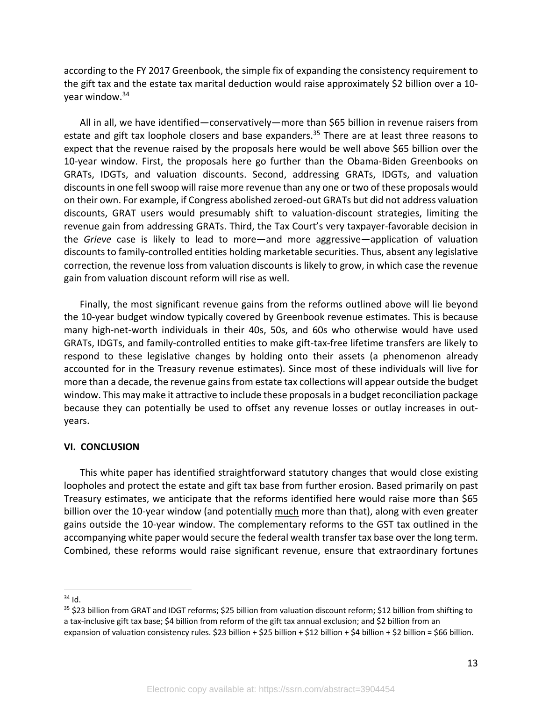according to the FY 2017 Greenbook, the simple fix of expanding the consistency requirement to the gift tax and the estate tax marital deduction would raise approximately \$2 billion over a 10 year window.34

All in all, we have identified—conservatively—more than \$65 billion in revenue raisers from estate and gift tax loophole closers and base expanders.<sup>35</sup> There are at least three reasons to expect that the revenue raised by the proposals here would be well above \$65 billion over the 10-year window. First, the proposals here go further than the Obama-Biden Greenbooks on GRATs, IDGTs, and valuation discounts. Second, addressing GRATs, IDGTs, and valuation discounts in one fell swoop will raise more revenue than any one or two of these proposals would on their own. For example, if Congress abolished zeroed-out GRATs but did not address valuation discounts, GRAT users would presumably shift to valuation-discount strategies, limiting the revenue gain from addressing GRATs. Third, the Tax Court's very taxpayer-favorable decision in the *Grieve* case is likely to lead to more—and more aggressive—application of valuation discounts to family-controlled entities holding marketable securities. Thus, absent any legislative correction, the revenue loss from valuation discounts is likely to grow, in which case the revenue gain from valuation discount reform will rise as well.

Finally, the most significant revenue gains from the reforms outlined above will lie beyond the 10-year budget window typically covered by Greenbook revenue estimates. This is because many high-net-worth individuals in their 40s, 50s, and 60s who otherwise would have used GRATs, IDGTs, and family-controlled entities to make gift-tax-free lifetime transfers are likely to respond to these legislative changes by holding onto their assets (a phenomenon already accounted for in the Treasury revenue estimates). Since most of these individuals will live for more than a decade, the revenue gains from estate tax collections will appear outside the budget window. This may make it attractive to include these proposals in a budget reconciliation package because they can potentially be used to offset any revenue losses or outlay increases in outyears.

## **VI. CONCLUSION**

This white paper has identified straightforward statutory changes that would close existing loopholes and protect the estate and gift tax base from further erosion. Based primarily on past Treasury estimates, we anticipate that the reforms identified here would raise more than \$65 billion over the 10-year window (and potentially much more than that), along with even greater gains outside the 10-year window. The complementary reforms to the GST tax outlined in the accompanying white paper would secure the federal wealth transfer tax base over the long term. Combined, these reforms would raise significant revenue, ensure that extraordinary fortunes

 $34$  Id.

<sup>35</sup> \$23 billion from GRAT and IDGT reforms; \$25 billion from valuation discount reform; \$12 billion from shifting to a tax-inclusive gift tax base; \$4 billion from reform of the gift tax annual exclusion; and \$2 billion from an expansion of valuation consistency rules. \$23 billion + \$25 billion + \$12 billion + \$4 billion + \$2 billion = \$66 billion.